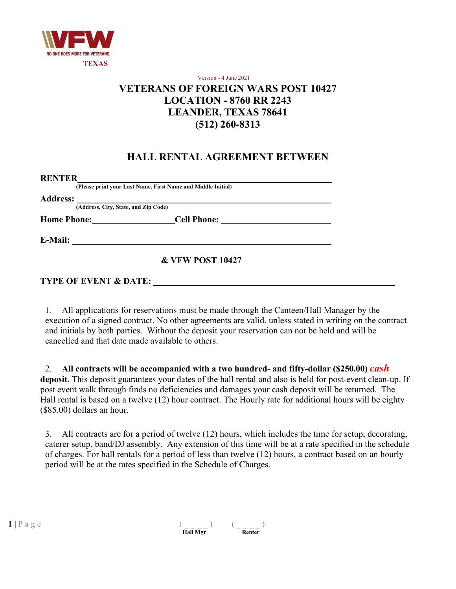

#### Version - 4 June 2021 **VETERANS OF FOREIGN WARS POST 10427 LOCATION - 8760 RR 2243 LEANDER, TEXAS 78641 (512) 260-8313**

### **HALL RENTAL AGREEMENT BETWEEN**

| <b>RENTER</b>                        | (Please print your Last Name, First Name and Middle Initial) |  |
|--------------------------------------|--------------------------------------------------------------|--|
| <b>Address:</b>                      |                                                              |  |
| (Address, City, State, and Zip Code) |                                                              |  |
| <b>Home Phone:</b>                   | <b>Cell Phone:</b>                                           |  |
|                                      |                                                              |  |
| <b>E-Mail:</b>                       |                                                              |  |
|                                      |                                                              |  |
|                                      | <b>&amp; VFW POST 10427</b>                                  |  |

#### **TYPE OF EVENT & DATE:**

1. All applications for reservations must be made through the Canteen/Hall Manager by the execution of a signed contract. No other agreements are valid, unless stated in writing on the contract and initials by both parties. Without the deposit your reservation can not be held and will be cancelled and that date made available to others.

2. **All contracts will be accompanied with a two hundred- and fifty-dollar (\$250.00)** *cash*  **deposit.** This deposit guarantees your dates of the hall rental and also is held for post-event clean-up. If post event walk through finds no deficiencies and damages your cash deposit will be returned. The Hall rental is based on a twelve (12) hour contract. The Hourly rate for additional hours will be eighty (\$85.00) dollars an hour.

3. All contracts are for a period of twelve (12) hours, which includes the time for setup, decorating, caterer setup, band/DJ assembly. Any extension of this time will be at a rate specified in the schedule of charges. For hall rentals for a period of less than twelve (12) hours, a contract based on an hourly period will be at the rates specified in the Schedule of Charges.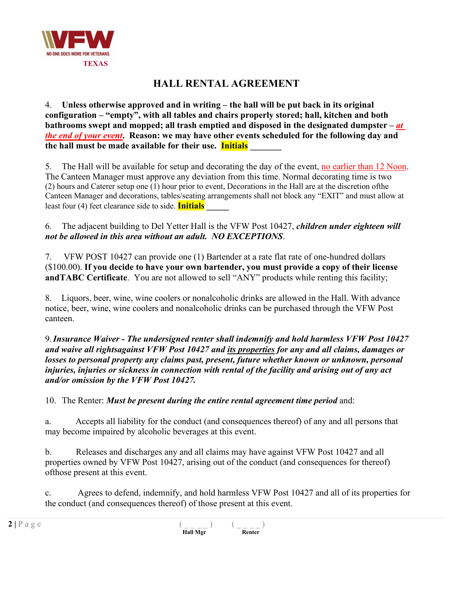

4. **Unless otherwise approved and in writing – the hall will be put back in its original configuration – "empty", with all tables and chairs properly stored; hall, kitchen and both bathrooms swept and mopped; all trash emptied and disposed in the designated dumpster –** *at the end of your event***. Reason: we may have other events scheduled for the following day and the hall must be made available for their use. Initials \_\_\_\_\_\_\_**

5. The Hall will be available for setup and decorating the day of the event, no earlier than 12 Noon. The Canteen Manager must approve any deviation from this time. Normal decorating time is two (2) hours and Caterer setup one (1) hour prior to event, Decorations in the Hall are at the discretion ofthe Canteen Manager and decorations, tables/seating arrangements shall not block any "EXIT" and must allow at least four (4) feet clearance side to side. **Initials \_\_\_\_\_**

6. The adjacent building to Del Yetter Hall is the VFW Post 10427, *children under eighteen will not be allowed in this area without an adult. NO EXCEPTIONS*.

7. VFW POST 10427 can provide one (1) Bartender at a rate flat rate of one-hundred dollars (\$100.00). **If you decide to have your own bartender, you must provide a copy of their license andTABC Certificate**. You are not allowed to sell "ANY" products while renting this facility;

8. Liquors, beer, wine, wine coolers or nonalcoholic drinks are allowed in the Hall. With advance notice, beer, wine, wine coolers and nonalcoholic drinks can be purchased through the VFW Post canteen.

9.*Insurance Waiver - The undersigned renter shall indemnify and hold harmless VFW Post 10427 and waive all rightsagainst VFW Post 10427 and its properties for any and all claims, damages or losses to personal property any claims past, present, future whether known or unknown, personal injuries, injuries or sickness in connection with rental of the facility and arising out of any act and/or omission by the VFW Post 10427.*

10. The Renter: *Must be present during the entire rental agreement time period* and:

a. Accepts all liability for the conduct (and consequences thereof) of any and all persons that may become impaired by alcoholic beverages at this event.

b. Releases and discharges any and all claims may have against VFW Post 10427 and all properties owned by VFW Post 10427, arising out of the conduct (and consequences for thereof) ofthose present at this event.

c. Agrees to defend, indemnify, and hold harmless VFW Post 10427 and all of its properties for the conduct (and consequences thereof) of those present at this event.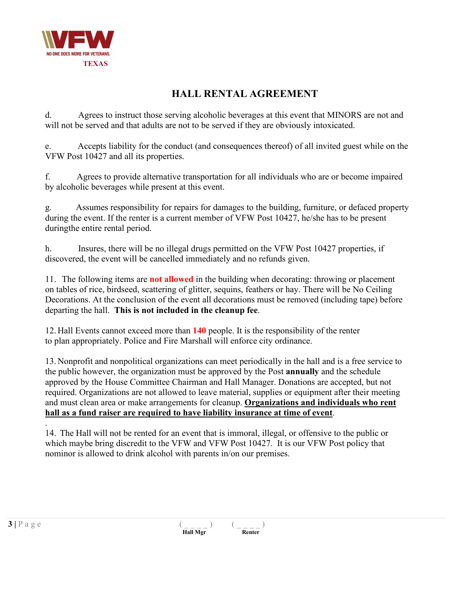

d. Agrees to instruct those serving alcoholic beverages at this event that MINORS are not and will not be served and that adults are not to be served if they are obviously intoxicated.

e. Accepts liability for the conduct (and consequences thereof) of all invited guest while on the VFW Post 10427 and all its properties.

f. Agrees to provide alternative transportation for all individuals who are or become impaired by alcoholic beverages while present at this event.

g. Assumes responsibility for repairs for damages to the building, furniture, or defaced property during the event. If the renter is a current member of VFW Post 10427, he/she has to be present duringthe entire rental period.

h. Insures, there will be no illegal drugs permitted on the VFW Post 10427 properties, if discovered, the event will be cancelled immediately and no refunds given.

11. The following items are **not allowed** in the building when decorating: throwing or placement on tables of rice, birdseed, scattering of glitter, sequins, feathers or hay. There will be No Ceiling Decorations. At the conclusion of the event all decorations must be removed (including tape) before departing the hall. **This is not included in the cleanup fee**.

12. Hall Events cannot exceed more than **140** people. It is the responsibility of the renter to plan appropriately. Police and Fire Marshall will enforce city ordinance.

13. Nonprofit and nonpolitical organizations can meet periodically in the hall and is a free service to the public however, the organization must be approved by the Post **annually** and the schedule approved by the House Committee Chairman and Hall Manager. Donations are accepted, but not required. Organizations are not allowed to leave material, supplies or equipment after their meeting and must clean area or make arrangements for cleanup. **Organizations and individuals who rent hall as a fund raiser are required to have liability insurance at time of event**.

. 14. The Hall will not be rented for an event that is immoral, illegal, or offensive to the public or which maybe bring discredit to the VFW and VFW Post 10427. It is our VFW Post policy that nominor is allowed to drink alcohol with parents in/on our premises.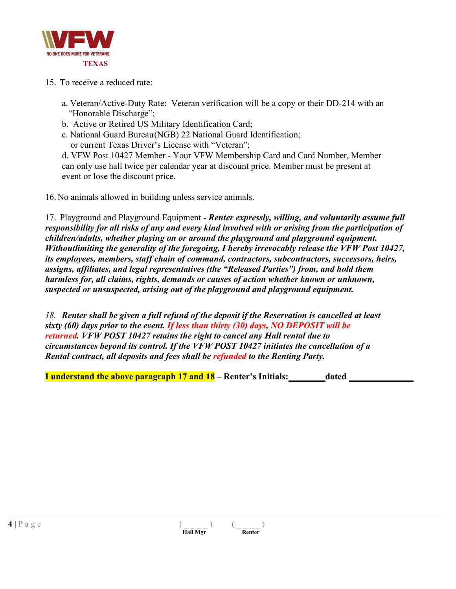

- 15. To receive a reduced rate:
	- a. Veteran/Active-Duty Rate: Veteran verification will be a copy or their DD-214 with an "Honorable Discharge";
	- b. Active or Retired US Military Identification Card;
	- c. National Guard Bureau(NGB) 22 National Guard Identification; or current Texas Driver's License with "Veteran";

d. VFW Post 10427 Member - Your VFW Membership Card and Card Number, Member can only use hall twice per calendar year at discount price. Member must be present at event or lose the discount price.

16. No animals allowed in building unless service animals.

17. Playground and Playground Equipment - *Renter expressly, willing, and voluntarily assume full responsibility for all risks of any and every kind involved with or arising from the participation of children/adults, whether playing on or around the playground and playground equipment. Withoutlimiting the generality of the foregoing, I hereby irrevocably release the VFW Post 10427, its employees, members, staff chain of command, contractors, subcontractors, successors, heirs, assigns, affiliates, and legal representatives (the "Released Parties") from, and hold them harmless for, all claims, rights, demands or causes of action whether known or unknown, suspected or unsuspected, arising out of the playground and playground equipment.*

*18. Renter shall be given a full refund of the deposit if the Reservation is cancelled at least sixty (60) days prior to the event. If less than thirty (30) days, NO DEPOSIT will be returned. VFW POST 10427 retains the right to cancel any Hall rental due to circumstances beyond its control. If the VFW POST 10427 initiates the cancellation of a Rental contract, all deposits and fees shall be refunded to the Renting Party.*

**I understand the above paragraph 17 and 18 – Renter's Initials: dated**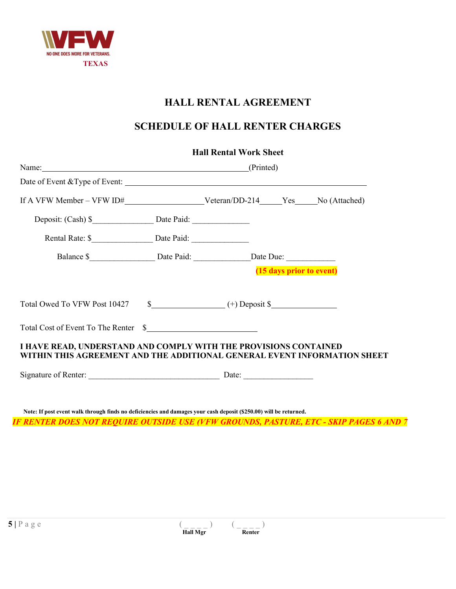

# **SCHEDULE OF HALL RENTER CHARGES**

|                                                                                                                                              |                 | <b>Hall Rental Work Sheet</b>       |  |  |  |
|----------------------------------------------------------------------------------------------------------------------------------------------|-----------------|-------------------------------------|--|--|--|
|                                                                                                                                              | Name: (Printed) |                                     |  |  |  |
|                                                                                                                                              |                 |                                     |  |  |  |
|                                                                                                                                              |                 |                                     |  |  |  |
|                                                                                                                                              |                 |                                     |  |  |  |
|                                                                                                                                              |                 |                                     |  |  |  |
| Balance \$______________________Date Paid: __________________Date Due: ______________________________                                        |                 |                                     |  |  |  |
| Total Owed To VFW Post 10427                                                                                                                 |                 | $\frac{\sqrt{2}}{2}$ (+) Deposit \$ |  |  |  |
| Total Cost of Event To The Renter \$                                                                                                         |                 |                                     |  |  |  |
| I HAVE READ, UNDERSTAND AND COMPLY WITH THE PROVISIONS CONTAINED<br>WITHIN THIS AGREEMENT AND THE ADDITIONAL GENERAL EVENT INFORMATION SHEET |                 |                                     |  |  |  |
|                                                                                                                                              |                 |                                     |  |  |  |
|                                                                                                                                              |                 |                                     |  |  |  |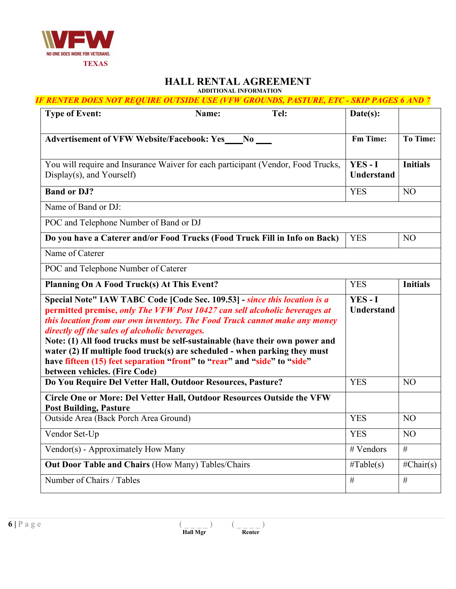

**ADDITIONAL INFORMATION**

| <b>IF RENTER DOES NOT REQUIRE OUTSIDE USE (VFW GROUNDS, PASTURE, ETC - SKIP PAGES 6 AND 7</b>                                                                                                                                                                                                                                                                                                                                                                                                                                                                      |          |                            |                 |
|--------------------------------------------------------------------------------------------------------------------------------------------------------------------------------------------------------------------------------------------------------------------------------------------------------------------------------------------------------------------------------------------------------------------------------------------------------------------------------------------------------------------------------------------------------------------|----------|----------------------------|-----------------|
| <b>Type of Event:</b><br>Name:                                                                                                                                                                                                                                                                                                                                                                                                                                                                                                                                     | Tel:     | Date(s):                   |                 |
| Advertisement of VFW Website/Facebook: Yes___No ___                                                                                                                                                                                                                                                                                                                                                                                                                                                                                                                | Fm Time: | <b>To Time:</b>            |                 |
| You will require and Insurance Waiver for each participant (Vendor, Food Trucks,<br>Display(s), and Yourself)                                                                                                                                                                                                                                                                                                                                                                                                                                                      |          | YES-I<br>Understand        | <b>Initials</b> |
| <b>Band or DJ?</b>                                                                                                                                                                                                                                                                                                                                                                                                                                                                                                                                                 |          | <b>YES</b>                 | N <sub>O</sub>  |
| Name of Band or DJ:                                                                                                                                                                                                                                                                                                                                                                                                                                                                                                                                                |          |                            |                 |
| POC and Telephone Number of Band or DJ                                                                                                                                                                                                                                                                                                                                                                                                                                                                                                                             |          |                            |                 |
| Do you have a Caterer and/or Food Trucks (Food Truck Fill in Info on Back)                                                                                                                                                                                                                                                                                                                                                                                                                                                                                         |          | <b>YES</b>                 | N <sub>O</sub>  |
| Name of Caterer                                                                                                                                                                                                                                                                                                                                                                                                                                                                                                                                                    |          |                            |                 |
| POC and Telephone Number of Caterer                                                                                                                                                                                                                                                                                                                                                                                                                                                                                                                                |          |                            |                 |
| Planning On A Food Truck(s) At This Event?                                                                                                                                                                                                                                                                                                                                                                                                                                                                                                                         |          | <b>YES</b>                 | <b>Initials</b> |
| Special Note" IAW TABC Code [Code Sec. 109.53] - since this location is a<br>permitted premise, only The VFW Post 10427 can sell alcoholic beverages at<br>this location from our own inventory. The Food Truck cannot make any money<br>directly off the sales of alcoholic beverages.<br>Note: (1) All food trucks must be self-sustainable (have their own power and<br>water (2) If multiple food truck(s) are scheduled - when parking they must<br>have fifteen (15) feet separation "front" to "rear" and "side" to "side"<br>between vehicles. (Fire Code) |          | YES-I<br><b>Understand</b> |                 |
| Do You Require Del Vetter Hall, Outdoor Resources, Pasture?                                                                                                                                                                                                                                                                                                                                                                                                                                                                                                        |          | <b>YES</b>                 | NO              |
| Circle One or More: Del Vetter Hall, Outdoor Resources Outside the VFW<br><b>Post Building, Pasture</b>                                                                                                                                                                                                                                                                                                                                                                                                                                                            |          |                            |                 |
| Outside Area (Back Porch Area Ground)                                                                                                                                                                                                                                                                                                                                                                                                                                                                                                                              |          | <b>YES</b>                 | NO              |
| Vendor Set-Up                                                                                                                                                                                                                                                                                                                                                                                                                                                                                                                                                      |          | <b>YES</b>                 | N <sub>O</sub>  |
| Vendor(s) - Approximately How Many                                                                                                                                                                                                                                                                                                                                                                                                                                                                                                                                 |          | # Vendors                  | $\#$            |
| <b>Out Door Table and Chairs (How Many) Tables/Chairs</b>                                                                                                                                                                                                                                                                                                                                                                                                                                                                                                          |          | $\#\text{Table}(s)$        | $\#Chair(s)$    |
| Number of Chairs / Tables                                                                                                                                                                                                                                                                                                                                                                                                                                                                                                                                          |          | $\#$                       | $\#$            |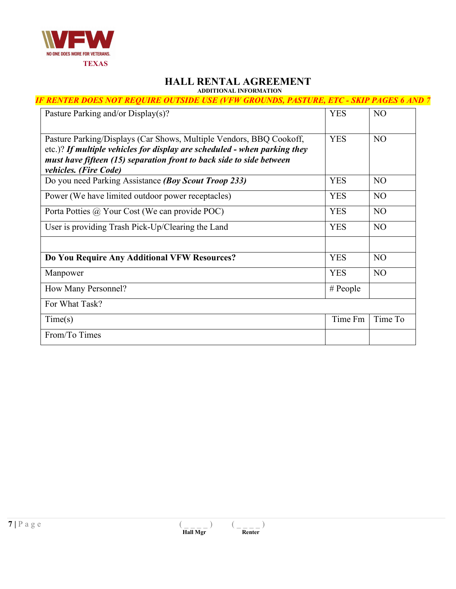

#### **HALL RENTAL AGREEMENT ADDITIONAL INFORMATION**

*IF RENTER DOES NOT REQUIRE OUTSIDE USE (VFW GROUNDS, PASTURE, ETC - SKIP PAGES 6 AND 7*

| Pasture Parking and/or Display(s)?                                                                                                                                                                                                                       | <b>YES</b> | N <sub>O</sub> |
|----------------------------------------------------------------------------------------------------------------------------------------------------------------------------------------------------------------------------------------------------------|------------|----------------|
| Pasture Parking/Displays (Car Shows, Multiple Vendors, BBQ Cookoff,<br>etc.)? If multiple vehicles for display are scheduled - when parking they<br>must have fifteen (15) separation front to back side to side between<br><i>vehicles. (Fire Code)</i> | <b>YES</b> | N <sub>O</sub> |
| Do you need Parking Assistance (Boy Scout Troop 233)                                                                                                                                                                                                     | <b>YES</b> | N <sub>O</sub> |
| Power (We have limited outdoor power receptacles)                                                                                                                                                                                                        | <b>YES</b> | N <sub>O</sub> |
| Porta Potties @ Your Cost (We can provide POC)                                                                                                                                                                                                           | <b>YES</b> | N <sub>O</sub> |
| User is providing Trash Pick-Up/Clearing the Land                                                                                                                                                                                                        | <b>YES</b> | N <sub>O</sub> |
|                                                                                                                                                                                                                                                          |            |                |
| Do You Require Any Additional VFW Resources?                                                                                                                                                                                                             | <b>YES</b> | N <sub>O</sub> |
| Manpower                                                                                                                                                                                                                                                 | <b>YES</b> | N <sub>O</sub> |
| How Many Personnel?                                                                                                                                                                                                                                      | # People   |                |
| For What Task?                                                                                                                                                                                                                                           |            |                |
| Time(s)                                                                                                                                                                                                                                                  | Time Fm    | Time To        |
| From/To Times                                                                                                                                                                                                                                            |            |                |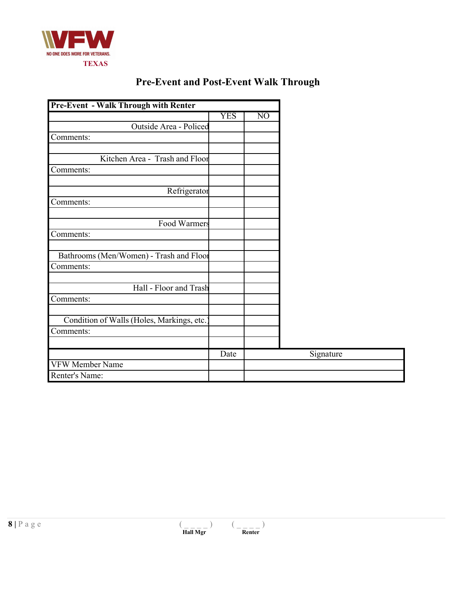

|  | <b>Pre-Event and Post-Event Walk Through</b> |  |  |  |
|--|----------------------------------------------|--|--|--|
|--|----------------------------------------------|--|--|--|

| <b>Pre-Event - Walk Through with Renter</b> |            |                |  |
|---------------------------------------------|------------|----------------|--|
|                                             | <b>YES</b> | N <sub>O</sub> |  |
| Outside Area - Policed                      |            |                |  |
| Comments:                                   |            |                |  |
|                                             |            |                |  |
| Kitchen Area - Trash and Floor              |            |                |  |
| Comments:                                   |            |                |  |
|                                             |            |                |  |
| Refrigerator                                |            |                |  |
| Comments:                                   |            |                |  |
| Food Warmers                                |            |                |  |
| Comments:                                   |            |                |  |
|                                             |            |                |  |
| Bathrooms (Men/Women) - Trash and Floor     |            |                |  |
| Comments:                                   |            |                |  |
|                                             |            |                |  |
| Hall - Floor and Trash                      |            |                |  |
| Comments:                                   |            |                |  |
|                                             |            |                |  |
| Condition of Walls (Holes, Markings, etc.)  |            |                |  |
| Comments:                                   |            |                |  |
|                                             |            |                |  |
|                                             | Date       |                |  |
| <b>VFW Member Name</b>                      |            |                |  |
| Renter's Name:                              |            |                |  |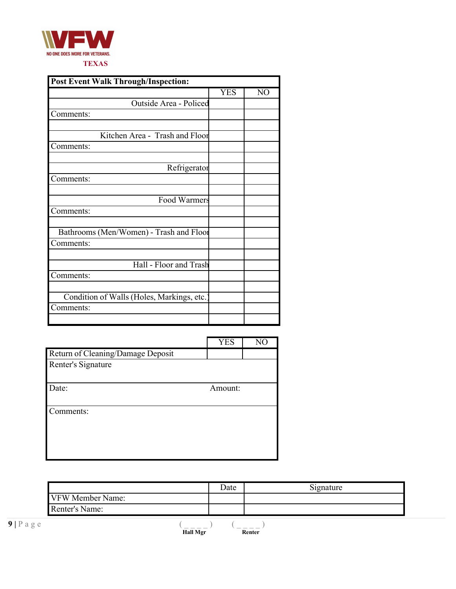

| <b>Post Event Walk Through/Inspection:</b> |            |                 |  |  |
|--------------------------------------------|------------|-----------------|--|--|
|                                            | <b>YES</b> | $\overline{NO}$ |  |  |
| Outside Area - Policed                     |            |                 |  |  |
| Comments:                                  |            |                 |  |  |
|                                            |            |                 |  |  |
| Kitchen Area - Trash and Floor             |            |                 |  |  |
| Comments:                                  |            |                 |  |  |
|                                            |            |                 |  |  |
| Refrigerator                               |            |                 |  |  |
| Comments:                                  |            |                 |  |  |
|                                            |            |                 |  |  |
| Food Warmers                               |            |                 |  |  |
| Comments:                                  |            |                 |  |  |
|                                            |            |                 |  |  |
| Bathrooms (Men/Women) - Trash and Floor    |            |                 |  |  |
| Comments:                                  |            |                 |  |  |
| Hall - Floor and Trash                     |            |                 |  |  |
| Comments:                                  |            |                 |  |  |
|                                            |            |                 |  |  |
| Condition of Walls (Holes, Markings, etc.  |            |                 |  |  |
| Comments:                                  |            |                 |  |  |
|                                            |            |                 |  |  |

|                                   | <b>YES</b> | NO |
|-----------------------------------|------------|----|
| Return of Cleaning/Damage Deposit |            |    |
| Renter's Signature                |            |    |
|                                   |            |    |
| Date:                             | Amount:    |    |
|                                   |            |    |
| Comments:                         |            |    |
|                                   |            |    |
|                                   |            |    |
|                                   |            |    |
|                                   |            |    |

|                       |                         |                 | Date | Signature |
|-----------------------|-------------------------|-----------------|------|-----------|
|                       | <b>VFW Member Name:</b> |                 |      |           |
|                       | Renter's Name:          |                 |      |           |
| $9   P \text{ a g e}$ |                         | <b>Hall Mgr</b> |      | Renter    |